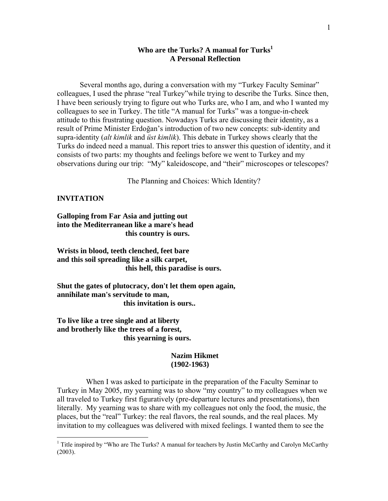# Who are the Turks? A manual for Turks<sup>1</sup> **A Personal Reflection**

Several months ago, during a conversation with my "Turkey Faculty Seminar" colleagues, I used the phrase "real Turkey"while trying to describe the Turks. Since then, I have been seriously trying to figure out who Turks are, who I am, and who I wanted my colleagues to see in Turkey. The title "A manual for Turks" was a tongue-in-cheek attitude to this frustrating question. Nowadays Turks are discussing their identity, as a result of Prime Minister Erdoğan's introduction of two new concepts: sub-identity and supra-identity (*alt kimlik* and *üst kimlik*). This debate in Turkey shows clearly that the Turks do indeed need a manual. This report tries to answer this question of identity, and it consists of two parts: my thoughts and feelings before we went to Turkey and my observations during our trip: "My" kaleidoscope, and "their" microscopes or telescopes?

The Planning and Choices: Which Identity?

## **INVITATION**

 $\overline{a}$ 

**Galloping from Far Asia and jutting out into the Mediterranean like a mare's head this country is ours.** 

**Wrists in blood, teeth clenched, feet bare and this soil spreading like a silk carpet, this hell, this paradise is ours.** 

**Shut the gates of plutocracy, don't let them open again, annihilate man's servitude to man, this invitation is ours..** 

**To live like a tree single and at liberty and brotherly like the trees of a forest, this yearning is ours.** 

# **Nazim Hikmet (1902-1963)**

 When I was asked to participate in the preparation of the Faculty Seminar to Turkey in May 2005, my yearning was to show "my country" to my colleagues when we all traveled to Turkey first figuratively (pre-departure lectures and presentations), then literally. My yearning was to share with my colleagues not only the food, the music, the places, but the "real" Turkey: the real flavors, the real sounds, and the real places. My invitation to my colleagues was delivered with mixed feelings. I wanted them to see the

<sup>&</sup>lt;sup>1</sup> Title inspired by "Who are The Turks? A manual for teachers by Justin McCarthy and Carolyn McCarthy (2003).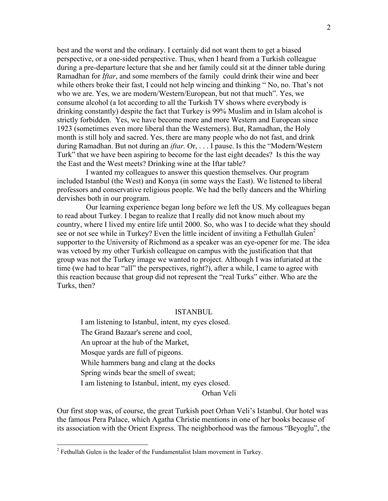best and the worst and the ordinary. I certainly did not want them to get a biased perspective, or a one-sided perspective. Thus, when I heard from a Turkish colleague during a pre-departure lecture that she and her family could sit at the dinner table during Ramadhan for *Iftar*, and some members of the family could drink their wine and beer while others broke their fast, I could not help wincing and thinking "No, no. That's not who we are. Yes, we are modern/Western/European, but not that much". Yes, we consume alcohol (a lot according to all the Turkish TV shows where everybody is drinking constantly) despite the fact that Turkey is 99% Muslim and in Islam alcohol is strictly forbidden. Yes, we have become more and more Western and European since 1923 (sometimes even more liberal than the Westerners). But, Ramadhan, the Holy month is still holy and sacred. Yes, there are many people who do not fast, and drink during Ramadhan. But not during an *iftar.* Or, . . . I pause. Is this the "Modern/Western Turk" that we have been aspiring to become for the last eight decades? Is this the way the East and the West meets? Drinking wine at the Iftar table?

 I wanted my colleagues to answer this question themselves. Our program included Istanbul (the West) and Konya (in some ways the East). We listened to liberal professors and conservative religious people. We had the belly dancers and the Whirling dervishes both in our program.

 Our learning experience began long before we left the US. My colleagues began to read about Turkey. I began to realize that I really did not know much about my country, where I lived my entire life until 2000. So, who was I to decide what they should see or not see while in Turkey? Even the little incident of inviting a Fethullah Gulen<sup>2</sup> supporter to the University of Richmond as a speaker was an eye-opener for me. The idea was vetoed by my other Turkish colleague on campus with the justification that that group was not the Turkey image we wanted to project. Although I was infuriated at the time (we had to hear "all" the perspectives, right?), after a while, I came to agree with this reaction because that group did not represent the "real Turks" either. Who are the Turks, then?

#### ISTANBUL

I am listening to Istanbul, intent, my eyes closed. The Grand Bazaar's serene and cool, An uproar at the hub of the Market, Mosque yards are full of pigeons. While hammers bang and clang at the docks Spring winds bear the smell of sweat; I am listening to Istanbul, intent, my eyes closed.

Orhan Veli

Our first stop was, of course, the great Turkish poet Orhan Veli's Istanbul. Our hotel was the famous Pera Palace, which Agatha Christie mentions in one of her books because of its association with the Orient Express. The neighborhood was the famous "Beyoglu", the

<u>.</u>

 $2^2$  Fethullah Gulen is the leader of the Fundamentalist Islam movement in Turkey.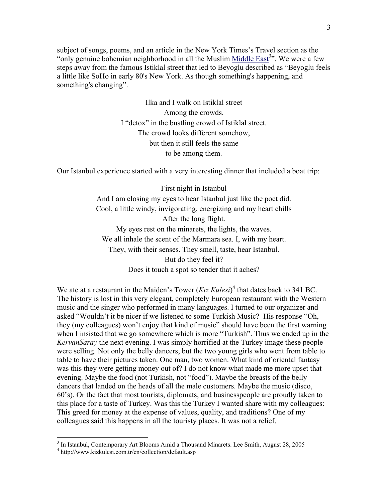subject of songs, poems, and an article in the New York Times's Travel section as the "only genuine bohemian neighborhood in all the Muslim Middle East<sup>3</sup>". We were a few steps away from the famous Istiklal street that led to Beyoglu described as "Beyoglu feels a little like SoHo in early 80's New York. As though something's happening, and something's changing".

> Ilka and I walk on Istiklal street Among the crowds. I "detox" in the bustling crowd of Istiklal street. The crowd looks different somehow, but then it still feels the same to be among them.

Our Istanbul experience started with a very interesting dinner that included a boat trip:

First night in Istanbul And I am closing my eyes to hear Istanbul just like the poet did. Cool, a little windy, invigorating, energizing and my heart chills After the long flight. My eyes rest on the minarets, the lights, the waves. We all inhale the scent of the Marmara sea. I, with my heart. They, with their senses. They smell, taste, hear Istanbul. But do they feel it? Does it touch a spot so tender that it aches?

We ate at a restaurant in the Maiden's Tower  $(Kiz$  Kulesi<sup>4</sup> that dates back to 341 BC. The history is lost in this very elegant, completely European restaurant with the Western music and the singer who performed in many languages. I turned to our organizer and asked "Wouldn't it be nicer if we listened to some Turkish Music? His response "Oh, they (my colleagues) won't enjoy that kind of music" should have been the first warning when I insisted that we go somewhere which is more "Turkish". Thus we ended up in the *KervanSaray* the next evening. I was simply horrified at the Turkey image these people were selling. Not only the belly dancers, but the two young girls who went from table to table to have their pictures taken. One man, two women. What kind of oriental fantasy was this they were getting money out of? I do not know what made me more upset that evening. Maybe the food (not Turkish, not "food"). Maybe the breasts of the belly dancers that landed on the heads of all the male customers. Maybe the music (disco, 60's). Or the fact that most tourists, diplomats, and businesspeople are proudly taken to this place for a taste of Turkey. Was this the Turkey I wanted share with my colleagues: This greed for money at the expense of values, quality, and traditions? One of my colleagues said this happens in all the touristy places. It was not a relief.

<sup>&</sup>lt;sup>3</sup> In Istanbul, Contemporary Art Blooms Amid a Thousand Minarets. Lee Smith, August 28, 2005

<sup>4</sup> http://www.kizkulesi.com.tr/en/collection/default.asp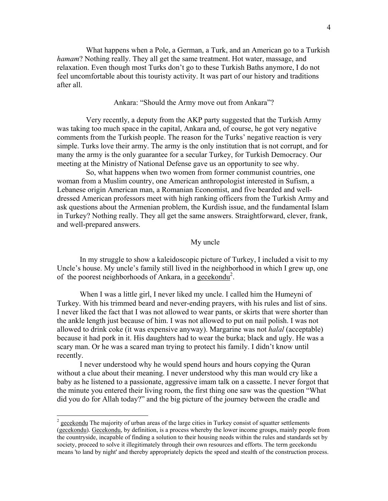What happens when a Pole, a German, a Turk, and an American go to a Turkish *hamam*? Nothing really. They all get the same treatment. Hot water, massage, and relaxation. Even though most Turks don't go to these Turkish Baths anymore, I do not feel uncomfortable about this touristy activity. It was part of our history and traditions after all.

Ankara: "Should the Army move out from Ankara"?

 Very recently, a deputy from the AKP party suggested that the Turkish Army was taking too much space in the capital, Ankara and, of course, he got very negative comments from the Turkish people. The reason for the Turks' negative reaction is very simple. Turks love their army. The army is the only institution that is not corrupt, and for many the army is the only guarantee for a secular Turkey, for Turkish Democracy. Our meeting at the Ministry of National Defense gave us an opportunity to see why.

 So, what happens when two women from former communist countries, one woman from a Muslim country, one American anthropologist interested in Sufism, a Lebanese origin American man, a Romanian Economist, and five bearded and welldressed American professors meet with high ranking officers from the Turkish Army and ask questions about the Armenian problem, the Kurdish issue, and the fundamental Islam in Turkey? Nothing really. They all get the same answers. Straightforward, clever, frank, and well-prepared answers.

## My uncle

In my struggle to show a kaleidoscopic picture of Turkey, I included a visit to my Uncle's house. My uncle's family still lived in the neighborhood in which I grew up, one of the poorest neighborhoods of Ankara, in a gecekondu<sup>2</sup>.

When I was a little girl, I never liked my uncle. I called him the Humeyni of Turkey. With his trimmed beard and never-ending prayers, with his rules and list of sins. I never liked the fact that I was not allowed to wear pants, or skirts that were shorter than the ankle length just because of him. I was not allowed to put on nail polish. I was not allowed to drink coke (it was expensive anyway). Margarine was not *halal* (acceptable) because it had pork in it. His daughters had to wear the burka; black and ugly. He was a scary man. Or he was a scared man trying to protect his family. I didn't know until recently.

I never understood why he would spend hours and hours copying the Quran without a clue about their meaning. I never understood why this man would cry like a baby as he listened to a passionate, aggressive imam talk on a cassette. I never forgot that the minute you entered their living room, the first thing one saw was the question "What did you do for Allah today?" and the big picture of the journey between the cradle and

 $\overline{a}$ 

 $2 \text{ gecekondu}$  The majority of urban areas of the large cities in Turkey consist of squatter settlements (gecekondu). Gecekondu, by definition, is a process whereby the lower income groups, mainly people from the countryside, incapable of finding a solution to their housing needs within the rules and standards set by society, proceed to solve it illegitimately through their own resources and efforts. The term gecekondu means 'to land by night' and thereby appropriately depicts the speed and stealth of the construction process.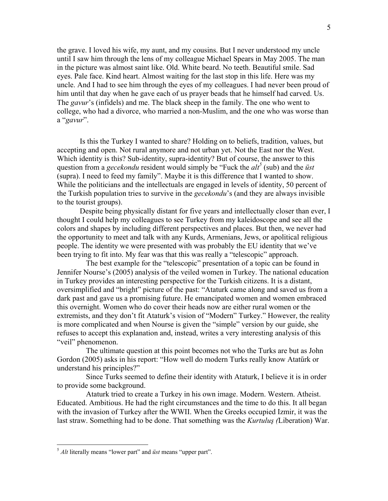the grave. I loved his wife, my aunt, and my cousins. But I never understood my uncle until I saw him through the lens of my colleague Michael Spears in May 2005. The man in the picture was almost saint like. Old. White beard. No teeth. Beautiful smile. Sad eyes. Pale face. Kind heart. Almost waiting for the last stop in this life. Here was my uncle. And I had to see him through the eyes of my colleagues. I had never been proud of him until that day when he gave each of us prayer beads that he himself had carved. Us. The *gavur*'s (infidels) and me. The black sheep in the family. The one who went to college, who had a divorce, who married a non-Muslim, and the one who was worse than a "*gavur*".

Is this the Turkey I wanted to share? Holding on to beliefs, tradition, values, but accepting and open. Not rural anymore and not urban yet. Not the East nor the West. Which identity is this? Sub-identity, supra-identity? But of course, the answer to this question from a *gecekondu* resident would simply be "Fuck the  $\frac{di^5}{}$  (sub) and the *üst* (supra). I need to feed my family". Maybe it is this difference that I wanted to show. While the politicians and the intellectuals are engaged in levels of identity, 50 percent of the Turkish population tries to survive in the *gecekondu*'s (and they are always invisible to the tourist groups).

Despite being physically distant for five years and intellectually closer than ever, I thought I could help my colleagues to see Turkey from my kaleidoscope and see all the colors and shapes by including different perspectives and places. But then, we never had the opportunity to meet and talk with any Kurds, Armenians, Jews, or apolitical religious people. The identity we were presented with was probably the EU identity that we've been trying to fit into. My fear was that this was really a "telescopic" approach.

 The best example for the "telescopic" presentation of a topic can be found in Jennifer Nourse's (2005) analysis of the veiled women in Turkey. The national education in Turkey provides an interesting perspective for the Turkish citizens. It is a distant, oversimplified and "bright" picture of the past: "Ataturk came along and saved us from a dark past and gave us a promising future. He emancipated women and women embraced this overnight. Women who do cover their heads now are either rural women or the extremists, and they don't fit Ataturk's vision of "Modern" Turkey." However, the reality is more complicated and when Nourse is given the "simple" version by our guide, she refuses to accept this explanation and, instead, writes a very interesting analysis of this "veil" phenomenon.

 The ultimate question at this point becomes not who the Turks are but as John Gordon (2005) asks in his report: "How well do modern Turks really know Atatűrk or understand his principles?"

 Since Turks seemed to define their identity with Ataturk, I believe it is in order to provide some background.

 Ataturk tried to create a Turkey in his own image. Modern. Western. Atheist. Educated. Ambitious. He had the right circumstances and the time to do this. It all began with the invasion of Turkey after the WWII. When the Greeks occupied Izmir, it was the last straw. Something had to be done. That something was the *Kurtuluş (*Liberation) War.

 $\overline{a}$ 

<sup>5</sup> *Alt* literally means "lower part" and *üst* means "upper part".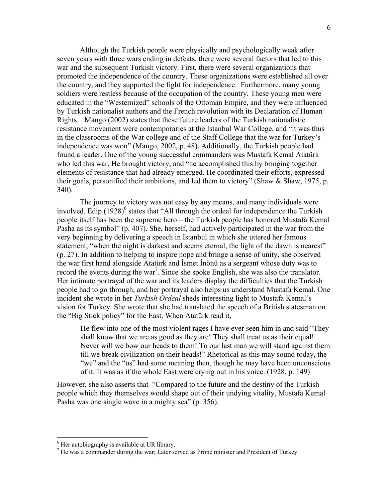Although the Turkish people were physically and psychologically weak after seven years with three wars ending in defeats, there were several factors that led to this war and the subsequent Turkish victory. First, there were several organizations that promoted the independence of the country. These organizations were established all over the country, and they supported the fight for independence. Furthermore, many young soldiers were restless because of the occupation of the country. These young men were educated in the "Westernized" schools of the Ottoman Empire, and they were influenced by Turkish nationalist authors and the French revolution with its Declaration of Human Rights. Mango (2002) states that these future leaders of the Turkish nationalistic resistance movement were contemporaries at the Istanbul War College, and "it was thus in the classrooms of the War college and of the Staff College that the war for Turkey's independence was won" (Mango, 2002, p. 48). Additionally, the Turkish people had found a leader. One of the young successful commanders was Mustafa Kemal Atatürk who led this war. He brought victory, and "he accomplished this by bringing together elements of resistance that had already emerged. He coordinated their efforts, expressed their goals, personified their ambitions, and led them to victory" (Shaw & Shaw, 1975, p. 340).

The journey to victory was not easy by any means, and many individuals were involved. Edip  $(1928)^6$  states that "All through the ordeal for independence the Turkish people itself has been the supreme hero – the Turkish people has honored Mustafa Kemal Pasha as its symbol" (p. 407). She, herself, had actively participated in the war from the very beginning by delivering a speech in Istanbul in which she uttered her famous statement, "when the night is darkest and seems eternal, the light of the dawn is nearest" (p. 27). In addition to helping to inspire hope and bringe a sense of unity, she observed the war first hand alongside Atatürk and İsmet İnönü as a sergeant whose duty was to record the events during the war<sup>7</sup>. Since she spoke English, she was also the translator. Her intimate portrayal of the war and its leaders display the difficulties that the Turkish people had to go through, and her portrayal also helps us understand Mustafa Kemal. One incident she wrote in her *Turkish Ordeal* sheds interesting light to Mustafa Kemal's vision for Turkey. She wrote that she had translated the speech of a British statesman on the "Big Stick policy" for the East. When Atatürk read it,

He flew into one of the most violent rages I have ever seen him in and said "They shall know that we are as good as they are! They shall treat us as their equal! Never will we bow our heads to them! To our last man we will stand against them till we break civilization on their heads!" Rhetorical as this may sound today, the "we" and the "us" had some meaning then, though he may have been unconscious of it. It was as if the whole East were crying out in his voice. (1928, p. 149)

However, she also asserts that "Compared to the future and the destiny of the Turkish people which they themselves would shape out of their undying vitality, Mustafa Kemal Pasha was one single wave in a mighty sea" (p. 356).

 $\overline{a}$ 

<sup>&</sup>lt;sup>6</sup> Her autobiography is available at UR library.

<sup>&</sup>lt;sup>7</sup> He was a commander during the war; Later served as Prime minister and President of Turkey.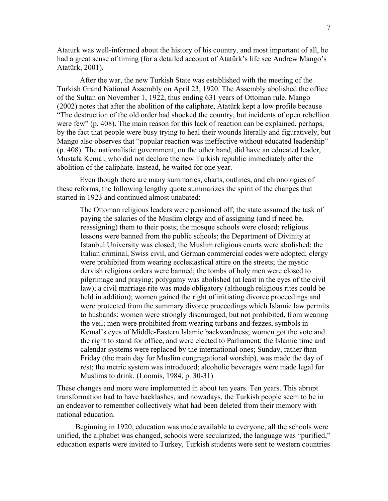Ataturk was well-informed about the history of his country, and most important of all, he had a great sense of timing (for a detailed account of Atatürk's life see Andrew Mango's Atatürk, 2001).

After the war, the new Turkish State was established with the meeting of the Turkish Grand National Assembly on April 23, 1920. The Assembly abolished the office of the Sultan on November 1, 1922, thus ending 631 years of Ottoman rule. Mango (2002) notes that after the abolition of the caliphate, Atatürk kept a low profile because "The destruction of the old order had shocked the country, but incidents of open rebellion were few" (p. 408). The main reason for this lack of reaction can be explained, perhaps, by the fact that people were busy trying to heal their wounds literally and figuratively, but Mango also observes that "popular reaction was ineffective without educated leadership" (p. 408). The nationalistic government, on the other hand, did have an educated leader, Mustafa Kemal, who did not declare the new Turkish republic immediately after the abolition of the caliphate. Instead, he waited for one year.

Even though there are many summaries, charts, outlines, and chronologies of these reforms, the following lengthy quote summarizes the spirit of the changes that started in 1923 and continued almost unabated:

The Ottoman religious leaders were pensioned off; the state assumed the task of paying the salaries of the Muslim clergy and of assigning (and if need be, reassigning) them to their posts; the mosque schools were closed; religious lessons were banned from the public schools; the Department of Divinity at Istanbul University was closed; the Muslim religious courts were abolished; the Italian criminal, Swiss civil, and German commercial codes were adopted; clergy were prohibited from wearing ecclesiastical attire on the streets; the mystic dervish religious orders were banned; the tombs of holy men were closed to pilgrimage and praying; polygamy was abolished (at least in the eyes of the civil law); a civil marriage rite was made obligatory (although religious rites could be held in addition); women gained the right of initiating divorce proceedings and were protected from the summary divorce proceedings which Islamic law permits to husbands; women were strongly discouraged, but not prohibited, from wearing the veil; men were prohibited from wearing turbans and fezzes, symbols in Kemal's eyes of Middle-Eastern Islamic backwardness; women got the vote and the right to stand for office, and were elected to Parliament; the Islamic time and calendar systems were replaced by the international ones; Sunday, rather than Friday (the main day for Muslim congregational worship), was made the day of rest; the metric system was introduced; alcoholic beverages were made legal for Muslims to drink. (Loomis, 1984, p. 30-31)

These changes and more were implemented in about ten years. Ten years. This abrupt transformation had to have backlashes, and nowadays, the Turkish people seem to be in an endeavor to remember collectively what had been deleted from their memory with national education.

 Beginning in 1920, education was made available to everyone, all the schools were unified, the alphabet was changed, schools were secularized, the language was "purified," education experts were invited to Turkey, Turkish students were sent to western countries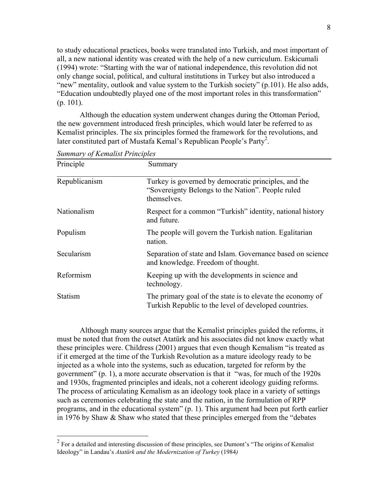to study educational practices, books were translated into Turkish, and most important of all, a new national identity was created with the help of a new curriculum. Eskicumali (1994) wrote: "Starting with the war of national independence, this revolution did not only change social, political, and cultural institutions in Turkey but also introduced a "new" mentality, outlook and value system to the Turkish society" (p.101). He also adds, "Education undoubtedly played one of the most important roles in this transformation" (p. 101).

Although the education system underwent changes during the Ottoman Period, the new government introduced fresh principles, which would later be referred to as Kemalist principles. The six principles formed the framework for the revolutions, and later constituted part of Mustafa Kemal's Republican People's Party<sup>2</sup>.

| Principle      | Summary                                                                                                                  |
|----------------|--------------------------------------------------------------------------------------------------------------------------|
| Republicanism  | Turkey is governed by democratic principles, and the<br>"Sovereignty Belongs to the Nation". People ruled<br>themselves. |
| Nationalism    | Respect for a common "Turkish" identity, national history<br>and future.                                                 |
| Populism       | The people will govern the Turkish nation. Egalitarian<br>nation.                                                        |
| Secularism     | Separation of state and Islam. Governance based on science<br>and knowledge. Freedom of thought.                         |
| Reformism      | Keeping up with the developments in science and<br>technology.                                                           |
| <b>Statism</b> | The primary goal of the state is to elevate the economy of<br>Turkish Republic to the level of developed countries.      |

*Summary of Kemalist Principles* 

 $\overline{a}$ 

Although many sources argue that the Kemalist principles guided the reforms, it must be noted that from the outset Atatürk and his associates did not know exactly what these principles were. Childress (2001) argues that even though Kemalism "is treated as if it emerged at the time of the Turkish Revolution as a mature ideology ready to be injected as a whole into the systems, such as education, targeted for reform by the government" (p. 1), a more accurate observation is that it "was, for much of the 1920s and 1930s, fragmented principles and ideals, not a coherent ideology guiding reforms. The process of articulating Kemalism as an ideology took place in a variety of settings such as ceremonies celebrating the state and the nation, in the formulation of RPP programs, and in the educational system" (p. 1). This argument had been put forth earlier in 1976 by Shaw & Shaw who stated that these principles emerged from the "debates

 $2^2$  For a detailed and interesting discussion of these principles, see Dumont's "The origins of Kemalist" Ideology" in Landau's *Atatürk and the Modernization of Turkey* (1984*)*